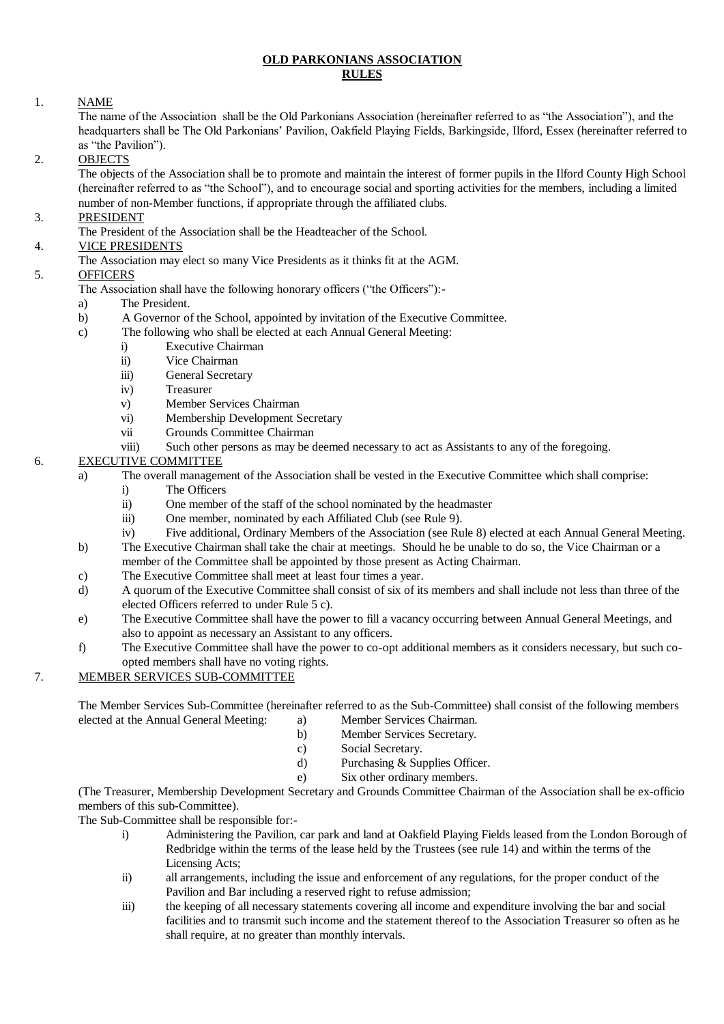#### **OLD PARKONIANS ASSOCIATION RULES**

#### 1. NAME

The name of the Association shall be the Old Parkonians Association (hereinafter referred to as "the Association"), and the headquarters shall be The Old Parkonians' Pavilion, Oakfield Playing Fields, Barkingside, Ilford, Essex (hereinafter referred to as "the Pavilion").

#### 2. OBJECTS

The objects of the Association shall be to promote and maintain the interest of former pupils in the Ilford County High School (hereinafter referred to as "the School"), and to encourage social and sporting activities for the members, including a limited number of non-Member functions, if appropriate through the affiliated clubs.

# 3. PRESIDENT

The President of the Association shall be the Headteacher of the School.

# 4. VICE PRESIDENTS

The Association may elect so many Vice Presidents as it thinks fit at the AGM.

# 5. OFFICERS

- The Association shall have the following honorary officers ("the Officers"):-
- a) The President.
- b) A Governor of the School, appointed by invitation of the Executive Committee.
- c) The following who shall be elected at each Annual General Meeting:
	- i) Executive Chairman
	- ii) Vice Chairman
	- iii) General Secretary
	- iv) Treasurer
	- v) Member Services Chairman
	- vi) Membership Development Secretary
	- vii Grounds Committee Chairman
	- viii) Such other persons as may be deemed necessary to act as Assistants to any of the foregoing.

# 6. EXECUTIVE COMMITTEE

- a) The overall management of the Association shall be vested in the Executive Committee which shall comprise:
	- i) The Officers
	- ii) One member of the staff of the school nominated by the headmaster
	- iii) One member, nominated by each Affiliated Club (see Rule 9).
	- iv) Five additional, Ordinary Members of the Association (see Rule 8) elected at each Annual General Meeting.
- b) The Executive Chairman shall take the chair at meetings. Should he be unable to do so, the Vice Chairman or a
- member of the Committee shall be appointed by those present as Acting Chairman.
- c) The Executive Committee shall meet at least four times a year. d) A quorum of the Executive Committee shall consist of six of its members and shall include not less than three of the
- elected Officers referred to under Rule 5 c).
- e) The Executive Committee shall have the power to fill a vacancy occurring between Annual General Meetings, and also to appoint as necessary an Assistant to any officers.
- f) The Executive Committee shall have the power to co-opt additional members as it considers necessary, but such coopted members shall have no voting rights.

# 7. MEMBER SERVICES SUB-COMMITTEE

The Member Services Sub-Committee (hereinafter referred to as the Sub-Committee) shall consist of the following members elected at the Annual General Meeting: a) Member Services Chairman.

- b) Member Services Secretary.
- c) Social Secretary.
- d) Purchasing & Supplies Officer.
- e) Six other ordinary members.

(The Treasurer, Membership Development Secretary and Grounds Committee Chairman of the Association shall be ex-officio members of this sub-Committee).

The Sub-Committee shall be responsible for:-

- i) Administering the Pavilion, car park and land at Oakfield Playing Fields leased from the London Borough of Redbridge within the terms of the lease held by the Trustees (see rule 14) and within the terms of the Licensing Acts;
- ii) all arrangements, including the issue and enforcement of any regulations, for the proper conduct of the Pavilion and Bar including a reserved right to refuse admission;
- iii) the keeping of all necessary statements covering all income and expenditure involving the bar and social facilities and to transmit such income and the statement thereof to the Association Treasurer so often as he shall require, at no greater than monthly intervals.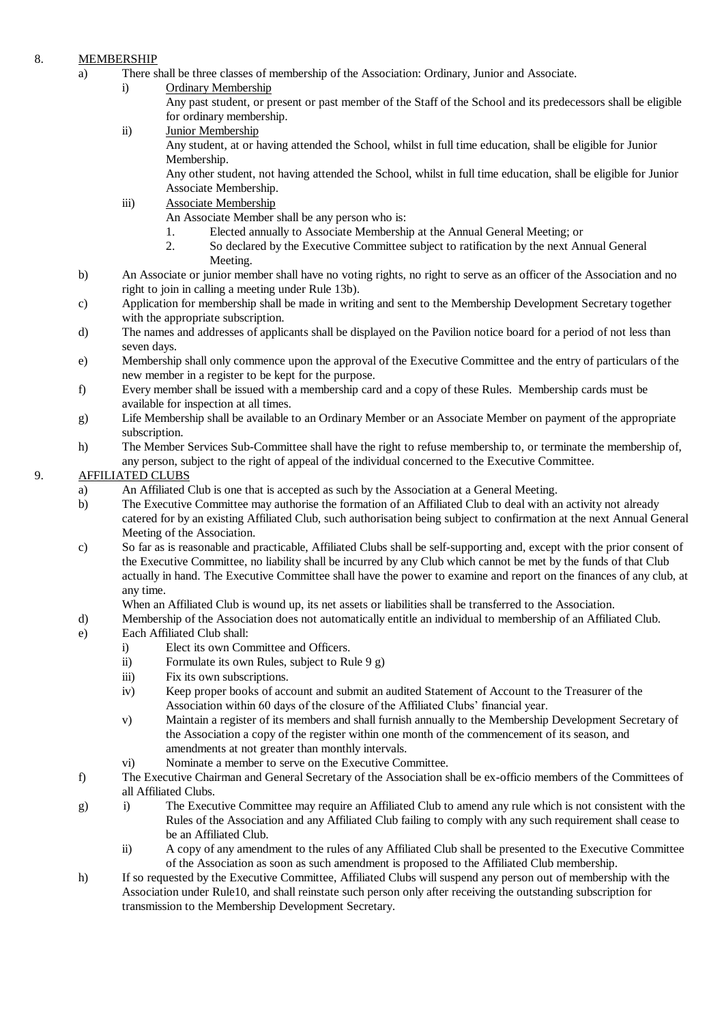# 8. MEMBERSHIP

- a) There shall be three classes of membership of the Association: Ordinary, Junior and Associate.
	- i) Ordinary Membership
		- Any past student, or present or past member of the Staff of the School and its predecessors shall be eligible for ordinary membership.
	- ii) Junior Membership Any student, at or having attended the School, whilst in full time education, shall be eligible for Junior Membership.

Any other student, not having attended the School, whilst in full time education, shall be eligible for Junior Associate Membership.

- iii) Associate Membership
	- An Associate Member shall be any person who is:
		- 1. Elected annually to Associate Membership at the Annual General Meeting; or
	- 2. So declared by the Executive Committee subject to ratification by the next Annual General Meeting.
- b) An Associate or junior member shall have no voting rights, no right to serve as an officer of the Association and no right to join in calling a meeting under Rule 13b).
- c) Application for membership shall be made in writing and sent to the Membership Development Secretary together with the appropriate subscription.
- d) The names and addresses of applicants shall be displayed on the Pavilion notice board for a period of not less than seven days.
- e) Membership shall only commence upon the approval of the Executive Committee and the entry of particulars of the new member in a register to be kept for the purpose.
- f) Every member shall be issued with a membership card and a copy of these Rules. Membership cards must be available for inspection at all times.
- g) Life Membership shall be available to an Ordinary Member or an Associate Member on payment of the appropriate subscription.
- h) The Member Services Sub-Committee shall have the right to refuse membership to, or terminate the membership of, any person, subject to the right of appeal of the individual concerned to the Executive Committee.

# 9. AFFILIATED CLUBS

- a) An Affiliated Club is one that is accepted as such by the Association at a General Meeting.
- b) The Executive Committee may authorise the formation of an Affiliated Club to deal with an activity not already catered for by an existing Affiliated Club, such authorisation being subject to confirmation at the next Annual General Meeting of the Association.
- c) So far as is reasonable and practicable, Affiliated Clubs shall be self-supporting and, except with the prior consent of the Executive Committee, no liability shall be incurred by any Club which cannot be met by the funds of that Club actually in hand. The Executive Committee shall have the power to examine and report on the finances of any club, at any time.

When an Affiliated Club is wound up, its net assets or liabilities shall be transferred to the Association.

- d) Membership of the Association does not automatically entitle an individual to membership of an Affiliated Club.
- e) Each Affiliated Club shall:
	- i) Elect its own Committee and Officers.
	- ii) Formulate its own Rules, subject to Rule 9 g)
	- iii) Fix its own subscriptions.
	- iv) Keep proper books of account and submit an audited Statement of Account to the Treasurer of the Association within 60 days of the closure of the Affiliated Clubs' financial year.
	- v) Maintain a register of its members and shall furnish annually to the Membership Development Secretary of the Association a copy of the register within one month of the commencement of its season, and amendments at not greater than monthly intervals.
	- vi) Nominate a member to serve on the Executive Committee.
- f) The Executive Chairman and General Secretary of the Association shall be ex-officio members of the Committees of all Affiliated Clubs.
- g) i) The Executive Committee may require an Affiliated Club to amend any rule which is not consistent with the Rules of the Association and any Affiliated Club failing to comply with any such requirement shall cease to be an Affiliated Club.
	- ii) A copy of any amendment to the rules of any Affiliated Club shall be presented to the Executive Committee of the Association as soon as such amendment is proposed to the Affiliated Club membership.
- h) If so requested by the Executive Committee, Affiliated Clubs will suspend any person out of membership with the Association under Rule10, and shall reinstate such person only after receiving the outstanding subscription for transmission to the Membership Development Secretary.